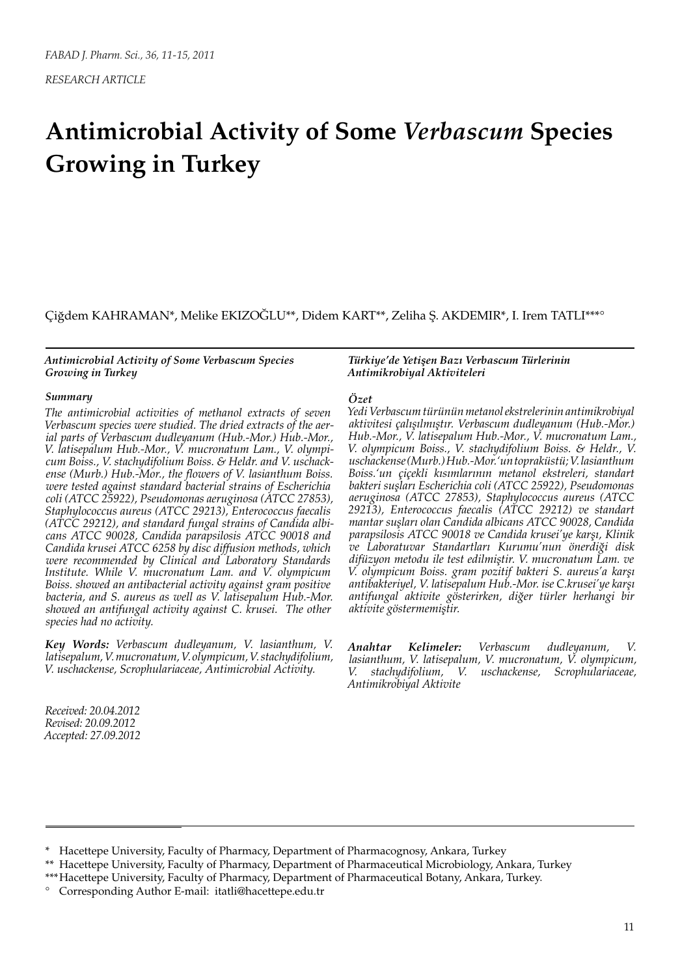# **Antimicrobial Activity of Some** *Verbascum* **Species Growing in Turkey**

Çiğdem KAHRAMAN\*, Melike EKIZOĞLU\*\*, Didem KART\*\*, Zeliha Ş. AKDEMIR\*, I. Irem TATLI\*\*\*°

#### *Antimicrobial Activity of Some Verbascum Species Growing in Turkey*

#### *Summary*

*The antimicrobial activities of methanol extracts of seven Verbascum species were studied. The dried extracts of the aerial parts of Verbascum dudleyanum (Hub.-Mor.) Hub.-Mor., V. latisepalum Hub.-Mor., V. mucronatum Lam., V. olympicum Boiss., V. stachydifolium Boiss. & Heldr. and V. uschackense (Murb.) Hub.-Mor., the flowers of V. lasianthum Boiss. were tested against standard bacterial strains of Escherichia coli (ATCC 25922), Pseudomonas aeruginosa (ATCC 27853), Staphylococcus aureus (ATCC 29213), Enterococcus faecalis (ATCC 29212), and standard fungal strains of Candida albicans ATCC 90028, Candida parapsilosis ATCC 90018 and Candida krusei ATCC 6258 by disc diffusion methods, which were recommended by Clinical and Laboratory Standards Institute. While V. mucronatum Lam. and V. olympicum Boiss. showed an antibacterial activity against gram positive bacteria, and S. aureus as well as V. latisepalum Hub.-Mor. showed an antifungal activity against C. krusei. The other species had no activity.*

*Key Words: Verbascum dudleyanum, V. lasianthum, V. latisepalum, V. mucronatum, V. olympicum, V. stachydifolium, V. uschackense, Scrophulariaceae, Antimicrobial Activity.*

*Received: 20.04.2012 Revised: 20.09.2012 Accepted: 27.09.2012*

#### *Türkiye'de Yetişen Bazı Verbascum Türlerinin Antimikrobiyal Aktiviteleri*

#### *Özet*

*Yedi Verbascum türünün metanol ekstrelerinin antimikrobiyal aktivitesi çalışılmıştır. Verbascum dudleyanum (Hub.-Mor.) Hub.-Mor., V. latisepalum Hub.-Mor., V. mucronatum Lam., V. olympicum Boiss., V. stachydifolium Boiss. & Heldr., V. uschackense (Murb.) Hub.-Mor.'un topraküstü; V. lasianthum Boiss.'un çiçekli kısımlarının metanol ekstreleri, standart bakteri suşları Escherichia coli (ATCC 25922), Pseudomonas aeruginosa (ATCC 27853), Staphylococcus aureus (ATCC 29213), Enterococcus faecalis (ATCC 29212) ve standart mantar suşları olan Candida albicans ATCC 90028, Candida parapsilosis ATCC 90018 ve Candida krusei'ye karşı, Klinik ve Laboratuvar Standartları Kurumu'nun önerdiği disk difüzyon metodu ile test edilmiştir. V. mucronatum Lam. ve V. olympicum Boiss. gram pozitif bakteri S. aureus'a karşı antibakteriyel, V. latisepalum Hub.-Mor. ise C.krusei'ye karşı antifungal aktivite gösterirken, diğer türler herhangi bir aktivite göstermemiştir.*

*Anahtar Kelimeler: Verbascum dudleyanum, V. lasianthum, V. latisepalum, V. mucronatum, V. olympicum, V. stachydifolium, V. uschackense, Scrophulariaceae, Antimikrobiyal Aktivite*

<sup>\*</sup> Hacettepe University, Faculty of Pharmacy, Department of Pharmacognosy, Ankara, Turkey

<sup>\*\*</sup> Hacettepe University, Faculty of Pharmacy, Department of Pharmaceutical Microbiology, Ankara, Turkey

<sup>\*\*\*</sup>Hacettepe University, Faculty of Pharmacy, Department of Pharmaceutical Botany, Ankara, Turkey.

<sup>°</sup> Corresponding Author E-mail: itatli@hacettepe.edu.tr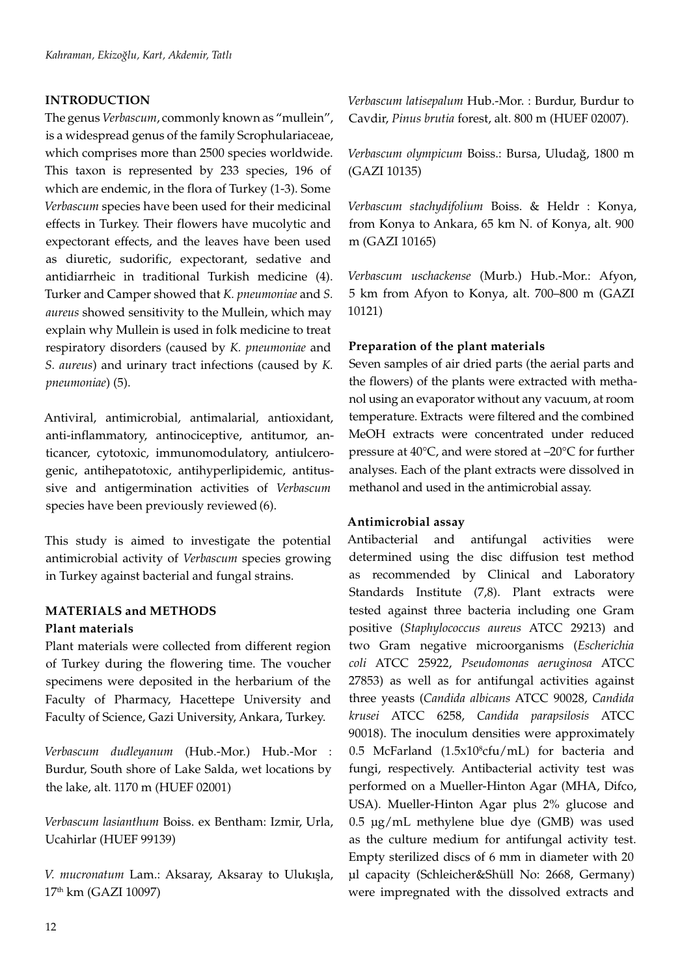## **INTRODUCTION**

The genus *Verbascum*, commonly known as "mullein", is a widespread genus of the family Scrophulariaceae, which comprises more than 2500 species worldwide. This taxon is represented by 233 species, 196 of which are endemic, in the flora of Turkey (1-3). Some *Verbascum* species have been used for their medicinal effects in Turkey. Their flowers have mucolytic and expectorant effects, and the leaves have been used as diuretic, sudorific, expectorant, sedative and antidiarrheic in traditional Turkish medicine (4). Turker and Camper showed that *K. pneumoniae* and *S. aureus* showed sensitivity to the Mullein, which may explain why Mullein is used in folk medicine to treat respiratory disorders (caused by *K. pneumoniae* and *S. aureus*) and urinary tract infections (caused by *K. pneumoniae*) (5).

Antiviral, antimicrobial, antimalarial, antioxidant, anti-inflammatory, antinociceptive, antitumor, anticancer, cytotoxic, immunomodulatory, antiulcerogenic, antihepatotoxic, antihyperlipidemic, antitussive and antigermination activities of *Verbascum* species have been previously reviewed (6).

This study is aimed to investigate the potential antimicrobial activity of *Verbascum* species growing in Turkey against bacterial and fungal strains.

## **MATERIALS and METHODS**

## **Plant materials**

Plant materials were collected from different region of Turkey during the flowering time. The voucher specimens were deposited in the herbarium of the Faculty of Pharmacy, Hacettepe University and Faculty of Science, Gazi University, Ankara, Turkey.

*Verbascum dudleyanum* (Hub.-Mor.) Hub.-Mor : Burdur, South shore of Lake Salda, wet locations by the lake, alt. 1170 m (HUEF 02001)

*Verbascum lasianthum* Boiss. ex Bentham: Izmir, Urla, Ucahirlar (HUEF 99139)

*V. mucronatum* Lam.: Aksaray, Aksaray to Ulukışla, 17th km (GAZI 10097)

*Verbascum latisepalum* Hub.-Mor. : Burdur, Burdur to Cavdir, *Pinus brutia* forest, alt. 800 m (HUEF 02007).

*Verbascum olympicum* Boiss.: Bursa, Uludağ, 1800 m (GAZI 10135)

*Verbascum stachydifolium* Boiss. & Heldr : Konya, from Konya to Ankara, 65 km N. of Konya, alt. 900 m (GAZI 10165)

*Verbascum uschackense* (Murb.) Hub.-Mor.: Afyon, 5 km from Afyon to Konya, alt. 700–800 m (GAZI 10121)

## **Preparation of the plant materials**

Seven samples of air dried parts (the aerial parts and the flowers) of the plants were extracted with methanol using an evaporator without any vacuum, at room temperature. Extracts were filtered and the combined MeOH extracts were concentrated under reduced pressure at 40°C, and were stored at –20°C for further analyses. Each of the plant extracts were dissolved in methanol and used in the antimicrobial assay.

## **Antimicrobial assay**

Antibacterial and antifungal activities were determined using the disc diffusion test method as recommended by Clinical and Laboratory Standards Institute (7,8). Plant extracts were tested against three bacteria including one Gram positive (*Staphylococcus aureus* ATCC 29213) and two Gram negative microorganisms (*Escherichia coli* ATCC 25922, *Pseudomonas aeruginosa* ATCC 27853) as well as for antifungal activities against three yeasts (*Candida albicans* ATCC 90028, *Candida krusei* ATCC 6258, *Candida parapsilosis* ATCC 90018). The inoculum densities were approximately 0.5 McFarland (1.5x10<sup>8</sup>cfu/mL) for bacteria and fungi, respectively. Antibacterial activity test was performed on a Mueller-Hinton Agar (MHA, Difco, USA). Mueller-Hinton Agar plus 2% glucose and 0.5 µg/mL methylene blue dye (GMB) was used as the culture medium for antifungal activity test. Empty sterilized discs of 6 mm in diameter with 20 µl capacity (Schleicher&Shüll No: 2668, Germany) were impregnated with the dissolved extracts and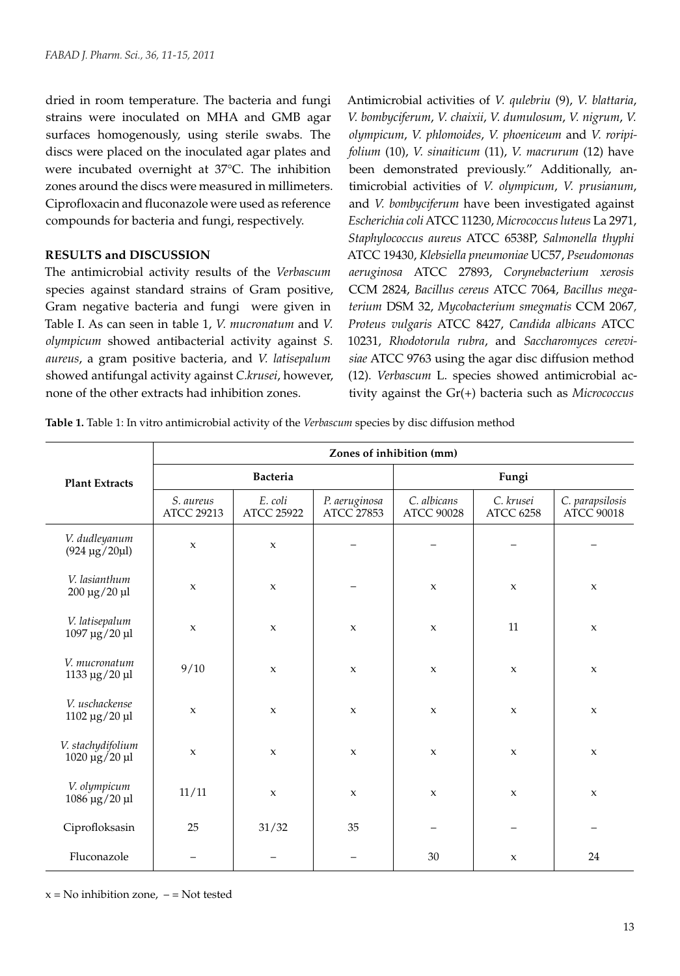dried in room temperature. The bacteria and fungi strains were inoculated on MHA and GMB agar surfaces homogenously, using sterile swabs. The discs were placed on the inoculated agar plates and were incubated overnight at 37°C. The inhibition zones around the discs were measured in millimeters. Ciprofloxacin and fluconazole were used as reference compounds for bacteria and fungi, respectively.

#### **RESULTS and DISCUSSION**

The antimicrobial activity results of the *Verbascum* species against standard strains of Gram positive, Gram negative bacteria and fungi were given in Table I. As can seen in table 1, *V. mucronatum* and *V. olympicum* showed antibacterial activity against *S. aureus*, a gram positive bacteria, and *V. latisepalum* showed antifungal activity against *C.krusei*, however, none of the other extracts had inhibition zones.

Antimicrobial activities of *V. qulebriu* (9), *V. blattaria*, *V. bombyciferum*, *V. chaixii*, *V. dumulosum*, *V. nigrum*, *V. olympicum*, *V. phlomoides*, *V. phoeniceum* and *V. roripifolium* (10), *V. sinaiticum* (11), *V. macrurum* (12) have been demonstrated previously." Additionally, antimicrobial activities of *V. olympicum*, *V. prusianum*, and *V. bombyciferum* have been investigated against *Escherichia coli* ATCC 11230, *Micrococcus luteus* La 2971, *Staphylococcus aureus* ATCC 6538P, *Salmonella thyphi* ATCC 19430, *Klebsiella pneumoniae* UC57, *Pseudomonas aeruginosa* ATCC 27893, *Corynebacterium xerosis* CCM 2824, *Bacillus cereus* ATCC 7064, *Bacillus megaterium* DSM 32, *Mycobacterium smegmatis* CCM 2067*, Proteus vulgaris* ATCC 8427, *Candida albicans* ATCC 10231, *Rhodotorula rubra*, and *Saccharomyces cerevisiae* ATCC 9763 using the agar disc diffusion method (12). *Verbascum* L. species showed antimicrobial activity against the Gr(+) bacteria such as *Micrococcus* 

**Table 1.** Table 1: In vitro antimicrobial activity of the *Verbascum* species by disc diffusion method

| <b>Plant Extracts</b>                            | Zones of inhibition (mm)       |                              |                             |                                  |                               |                                      |
|--------------------------------------------------|--------------------------------|------------------------------|-----------------------------|----------------------------------|-------------------------------|--------------------------------------|
|                                                  | <b>Bacteria</b>                |                              |                             | Fungi                            |                               |                                      |
|                                                  | S. aureus<br><b>ATCC 29213</b> | E. coli<br><b>ATCC 25922</b> | P. aeruginosa<br>ATCC 27853 | C. albicans<br><b>ATCC 90028</b> | C. krusei<br><b>ATCC 6258</b> | C. parapsilosis<br><b>ATCC 90018</b> |
| V. dudleyanum<br>$(924 \text{ µg}/20 \text{µl})$ | $\mathsf X$                    | $\mathsf X$                  |                             |                                  |                               |                                      |
| V. lasianthum<br>200 µg/20 µl                    | $\mathbf x$                    | $\boldsymbol{\chi}$          |                             | $\mathbf x$                      | $\mathbf{x}$                  | $\mathbf x$                          |
| V. latisepalum<br>1097 µg/20 µl                  | $\mathsf X$                    | $\mathsf X$                  | $\mathbf x$                 | $\mathbf x$                      | 11                            | $\mathsf X$                          |
| V. mucronatum<br>1133 µg/20 µl                   | 9/10                           | $\mathbf x$                  | $\mathbf x$                 | $\mathbf x$                      | $\mathbf x$                   | $\mathsf X$                          |
| V. uschackense<br>1102 µg/20 µl                  | $\boldsymbol{\chi}$            | $\boldsymbol{\chi}$          | $\mathsf X$                 | $\mathsf X$                      | $\mathsf X$                   | $\boldsymbol{\chi}$                  |
| V. stachydifolium<br>$1020 \mu g / 20 \mu l$     | $\mathbf x$                    | $\mathsf X$                  | $\mathsf X$                 | $\mathbf x$                      | $\mathsf X$                   | $\mathsf X$                          |
| V. olympicum<br>1086 µg/20 µl                    | 11/11                          | $\boldsymbol{\mathsf{X}}$    | $\mathsf X$                 | $\mathbf x$                      | $\mathbf x$                   | $\mathbf x$                          |
| Ciprofloksasin                                   | 25                             | 31/32                        | 35                          |                                  |                               |                                      |
| Fluconazole                                      |                                |                              |                             | 30                               | $\mathsf X$                   | 24                                   |

 $x = No$  inhibition zone,  $-$  = Not tested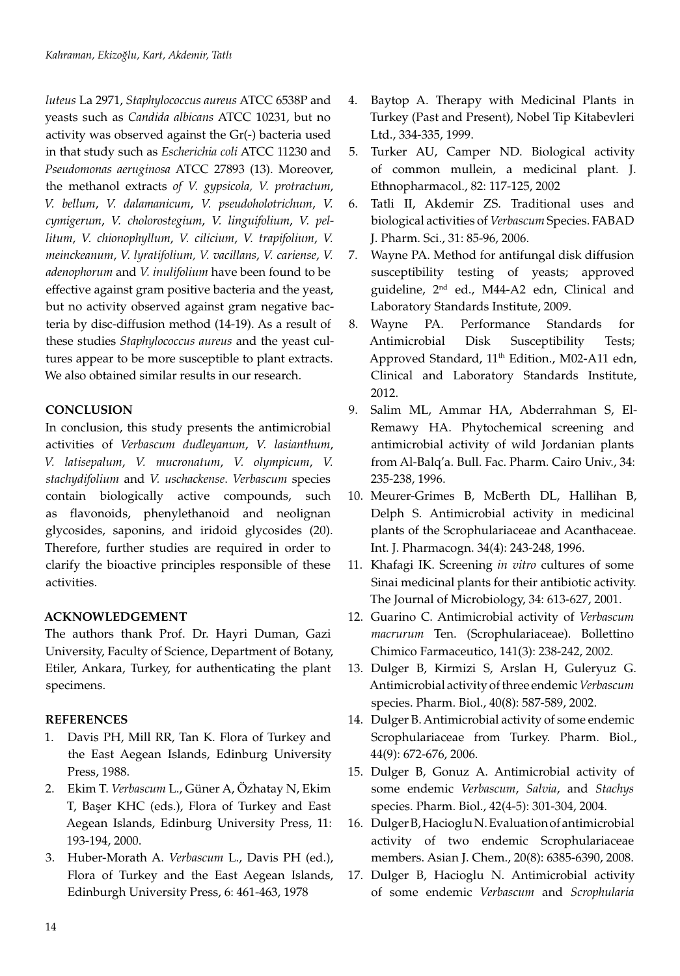*luteus* La 2971, *Staphylococcus aureus* ATCC 6538P and yeasts such as *Candida albicans* ATCC 10231, but no activity was observed against the Gr(-) bacteria used in that study such as *Escherichia coli* ATCC 11230 and *Pseudomonas aeruginosa* ATCC 27893 (13). Moreover, the methanol extracts *of V. gypsicola, V. protractum*, *V. bellum*, *V. dalamanicum*, *V. pseudoholotrichum*, *V. cymigerum*, *V. cholorostegium*, *V. linguifolium*, *V. pellitum*, *V. chionophyllum*, *V. cilicium*, *V. trapifolium*, *V. meinckeanum*, *V. lyratifolium, V. vacillans*, *V. cariense*, *V. adenophorum* and *V. inulifolium* have been found to be effective against gram positive bacteria and the yeast, but no activity observed against gram negative bacteria by disc-diffusion method (14-19). As a result of these studies *Staphylococcus aureus* and the yeast cultures appear to be more susceptible to plant extracts. We also obtained similar results in our research.

# **CONCLUSION**

In conclusion, this study presents the antimicrobial activities of *Verbascum dudleyanum*, *V. lasianthum*, *V. latisepalum*, *V. mucronatum*, *V. olympicum*, *V. stachydifolium* and *V. uschackense*. *Verbascum* species contain biologically active compounds, such as flavonoids, phenylethanoid and neolignan glycosides, saponins, and iridoid glycosides (20). Therefore, further studies are required in order to clarify the bioactive principles responsible of these activities.

## **ACKNOWLEDGEMENT**

The authors thank Prof. Dr. Hayri Duman, Gazi University, Faculty of Science, Department of Botany, Etiler, Ankara, Turkey, for authenticating the plant specimens.

## **REFERENCES**

- 1. Davis PH, Mill RR, Tan K. Flora of Turkey and the East Aegean Islands, Edinburg University Press, 1988.
- 2. Ekim T. *Verbascum* L., Güner A, Özhatay N, Ekim T, Başer KHC (eds.), Flora of Turkey and East Aegean Islands, Edinburg University Press, 11: 193-194, 2000.
- 3. Huber-Morath A. *Verbascum* L., Davis PH (ed.), Flora of Turkey and the East Aegean Islands, Edinburgh University Press, 6: 461-463, 1978
- 4. Baytop A. Therapy with Medicinal Plants in Turkey (Past and Present), Nobel Tip Kitabevleri Ltd., 334-335, 1999.
- 5. Turker AU, Camper ND. Biological activity of common mullein, a medicinal plant. J. Ethnopharmacol., 82: 117-125, 2002
- 6. Tatli II, Akdemir ZS. Traditional uses and biological activities of *Verbascum* Species. FABAD J. Pharm. Sci., 31: 85-96, 2006.
- 7. Wayne PA. Method for antifungal disk diffusion susceptibility testing of yeasts; approved guideline, 2<sup>nd</sup> ed., M44-A2 edn, Clinical and Laboratory Standards Institute, 2009.
- 8. Wayne PA. Performance Standards for Antimicrobial Disk Susceptibility Tests; Approved Standard, 11<sup>th</sup> Edition., M02-A11 edn, Clinical and Laboratory Standards Institute, 2012.
- 9. Salim ML, Ammar HA, Abderrahman S, El-Remawy HA. Phytochemical screening and antimicrobial activity of wild Jordanian plants from Al-Balq'a. Bull. Fac. Pharm. Cairo Univ., 34: 235-238, 1996.
- 10. Meurer-Grimes B, McBerth DL, Hallihan B, Delph S. Antimicrobial activity in medicinal plants of the Scrophulariaceae and Acanthaceae. Int. J. Pharmacogn. 34(4): 243-248, 1996.
- 11. Khafagi IK. Screening *in vitro* cultures of some Sinai medicinal plants for their antibiotic activity. The Journal of Microbiology, 34: 613-627, 2001.
- 12. Guarino C. Antimicrobial activity of *Verbascum macrurum* Ten. (Scrophulariaceae). Bollettino Chimico Farmaceutico, 141(3): 238-242, 2002.
- 13. Dulger B, Kirmizi S, Arslan H, Guleryuz G. Antimicrobial activity of three endemic *Verbascum* species. Pharm. Biol., 40(8): 587-589, 2002.
- 14. Dulger B. Antimicrobial activity of some endemic Scrophulariaceae from Turkey. Pharm. Biol., 44(9): 672-676, 2006.
- 15. Dulger B, Gonuz A. Antimicrobial activity of some endemic *Verbascum*, *Salvia*, and *Stachys* species. Pharm. Biol., 42(4-5): 301-304, 2004.
- 16. Dulger B, Hacioglu N. Evaluation of antimicrobial activity of two endemic Scrophulariaceae members. Asian J. Chem., 20(8): 6385-6390, 2008.
- 17. Dulger B, Hacioglu N. Antimicrobial activity of some endemic *Verbascum* and *Scrophularia*